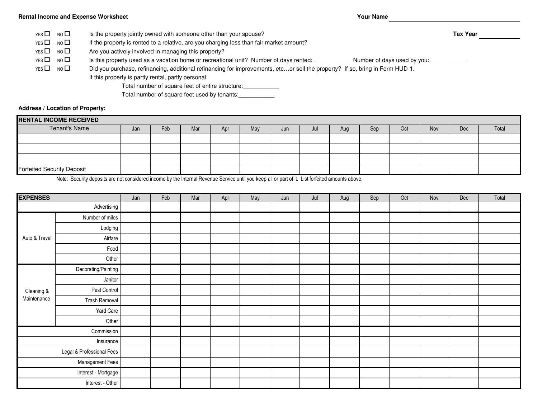## **Rental Income and Expense Worksheet**

**Your Name**

**Tax Year**

Is the property jointly owned with someone other than your spouse? $YES$  NO  $\Box$ 

If the property is rented to a relative, are you charging less than fair market amount?YES  $\Box$  NO  $\Box$ 

Are you actively involved in managing this property?YES  $\Box$  NO  $\Box$ 

Is this property used as a vacation home or recreational unit? Number of days rented: \_\_\_\_\_\_\_\_\_\_\_\_ Number of days used by you: YES  $\square$  NO  $\square$ 

Did you purchase, refinancing, additional refinancing for improvements, etc…or sell the property? If so, bring in Form HUD-1.YES  $\square$  NO  $\square$ 

If this property is partly rental, partly personal:

Total number of square feet of entire structure:\_\_\_\_\_\_\_\_\_\_\_

Total number of square feet used by tenants:

**Address / Location of Property:**

| <b>RENTAL INCOME RECEIVED</b>     |     |     |     |     |     |     |     |     |     |     |            |     |       |
|-----------------------------------|-----|-----|-----|-----|-----|-----|-----|-----|-----|-----|------------|-----|-------|
| Tenant's Name                     | Jan | Feb | Mar | Apr | May | Jun | Jul | Aug | Sep | Oct | <b>Nov</b> | Dec | Total |
|                                   |     |     |     |     |     |     |     |     |     |     |            |     |       |
|                                   |     |     |     |     |     |     |     |     |     |     |            |     |       |
|                                   |     |     |     |     |     |     |     |     |     |     |            |     |       |
| <b>Forfeited Security Deposit</b> |     |     |     |     |     |     |     |     |     |     |            |     |       |

Note: Security deposits are not considered income by the Internal Revenue Service until you keep all or part of it. List forfeited amounts above.

| <b>EXPENSES</b>           |                     | Jan | Feb | Mar | Apr | May | Jun | Jul | Aug | Sep | Oct | Nov | Dec | Total |
|---------------------------|---------------------|-----|-----|-----|-----|-----|-----|-----|-----|-----|-----|-----|-----|-------|
| Advertising               |                     |     |     |     |     |     |     |     |     |     |     |     |     |       |
| Auto & Travel             | Number of miles     |     |     |     |     |     |     |     |     |     |     |     |     |       |
|                           | Lodging             |     |     |     |     |     |     |     |     |     |     |     |     |       |
|                           | Airfare             |     |     |     |     |     |     |     |     |     |     |     |     |       |
|                           | Food                |     |     |     |     |     |     |     |     |     |     |     |     |       |
|                           | Other               |     |     |     |     |     |     |     |     |     |     |     |     |       |
| Cleaning &<br>Maintenance | Decorating/Painting |     |     |     |     |     |     |     |     |     |     |     |     |       |
|                           | Janitor             |     |     |     |     |     |     |     |     |     |     |     |     |       |
|                           | Pest Control        |     |     |     |     |     |     |     |     |     |     |     |     |       |
|                           | Trash Removal       |     |     |     |     |     |     |     |     |     |     |     |     |       |
|                           | Yard Care           |     |     |     |     |     |     |     |     |     |     |     |     |       |
|                           | Other               |     |     |     |     |     |     |     |     |     |     |     |     |       |
|                           | Commission          |     |     |     |     |     |     |     |     |     |     |     |     |       |
|                           | Insurance           |     |     |     |     |     |     |     |     |     |     |     |     |       |
| Legal & Professional Fees |                     |     |     |     |     |     |     |     |     |     |     |     |     |       |
| Management Fees           |                     |     |     |     |     |     |     |     |     |     |     |     |     |       |
| Interest - Mortgage       |                     |     |     |     |     |     |     |     |     |     |     |     |     |       |
| Interest - Other          |                     |     |     |     |     |     |     |     |     |     |     |     |     |       |